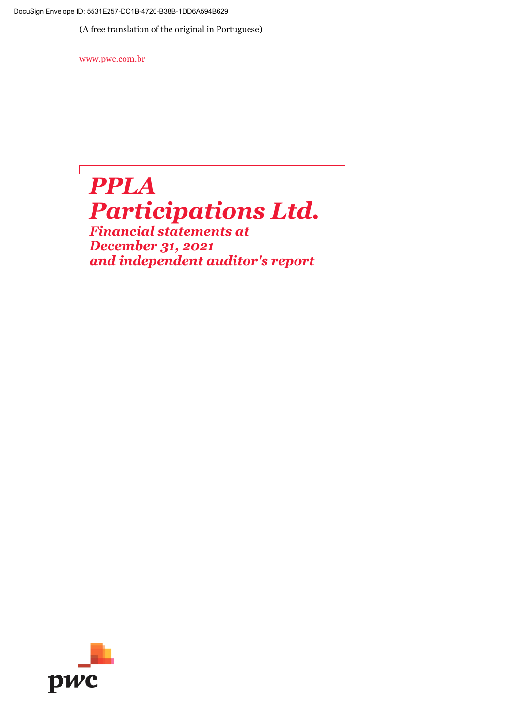DocuSign Envelope ID: 5531E257-DC1B-4720-B38B-1DD6A594B629

(A free translation of the original in Portuguese)

www.pwc.com.br

# *PPLA Participations Ltd.*

*Financial statements at December 31, 2021 and independent auditor's report*

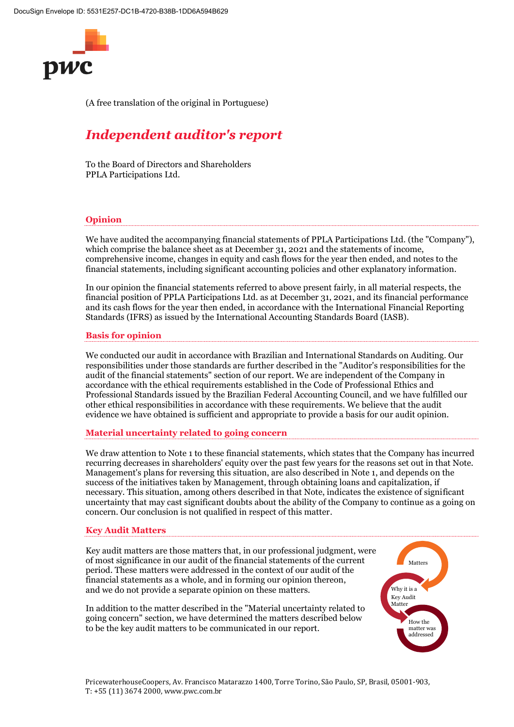

(A free translation of the original in Portuguese)

# *Independent auditor's report*

To the Board of Directors and Shareholders PPLA Participations Ltd.

#### **Opinion**

We have audited the accompanying financial statements of PPLA Participations Ltd. (the "Company"), which comprise the balance sheet as at December 31, 2021 and the statements of income, comprehensive income, changes in equity and cash flows for the year then ended, and notes to the financial statements, including significant accounting policies and other explanatory information.

In our opinion the financial statements referred to above present fairly, in all material respects, the financial position of PPLA Participations Ltd. as at December 31, 2021, and its financial performance and its cash flows for the year then ended, in accordance with the International Financial Reporting Standards (IFRS) as issued by the International Accounting Standards Board (IASB).

#### **Basis for opinion**

We conducted our audit in accordance with Brazilian and International Standards on Auditing. Our responsibilities under those standards are further described in the "Auditor's responsibilities for the audit of the financial statements" section of our report. We are independent of the Company in accordance with the ethical requirements established in the Code of Professional Ethics and Professional Standards issued by the Brazilian Federal Accounting Council, and we have fulfilled our other ethical responsibilities in accordance with these requirements. We believe that the audit evidence we have obtained is sufficient and appropriate to provide a basis for our audit opinion.

#### **Material uncertainty related to going concern**

We draw attention to Note 1 to these financial statements, which states that the Company has incurred recurring decreases in shareholders' equity over the past few years for the reasons set out in that Note. Management's plans for reversing this situation, are also described in Note 1, and depends on the success of the initiatives taken by Management, through obtaining loans and capitalization, if necessary. This situation, among others described in that Note, indicates the existence of significant uncertainty that may cast significant doubts about the ability of the Company to continue as a going on concern. Our conclusion is not qualified in respect of this matter.

#### **Key Audit Matters**

Key audit matters are those matters that, in our professional judgment, were of most significance in our audit of the financial statements of the current period. These matters were addressed in the context of our audit of the financial statements as a whole, and in forming our opinion thereon, and we do not provide a separate opinion on these matters.

In addition to the matter described in the "Material uncertainty related to going concern" section, we have determined the matters described below to be the key audit matters to be communicated in our report.

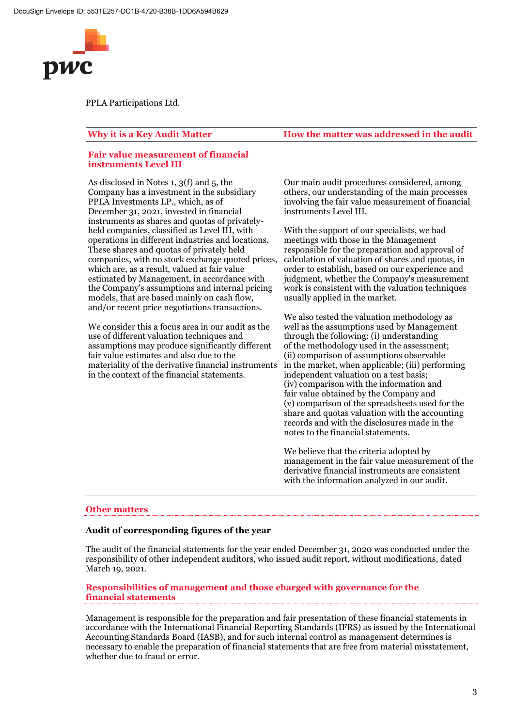

#### **Fair value measurement of financial instruments Level III**

As disclosed in Notes 1, 3(f) and 5, the Company has a investment in the subsidiary PPLA Investments LP., which, as of December 31, 2021, invested in financial instruments as shares and quotas of privatelyheld companies, classified as Level III, with operations in different industries and locations. These shares and quotas of privately held companies, with no stock exchange quoted prices, which are, as a result, valued at fair value estimated by Management, in accordance with the Company's assumptions and internal pricing models, that are based mainly on cash flow, and/or recent price negotiations transactions.

We consider this a focus area in our audit as the use of different valuation techniques and assumptions may produce significantly different fair value estimates and also due to the materiality of the derivative financial instruments in the context of the financial statements.

**Why it is a Key Audit Matter How the matter was addressed in the audit**

Our main audit procedures considered, among others, our understanding of the main processes involving the fair value measurement of financial instruments Level III.

With the support of our specialists, we had meetings with those in the Management responsible for the preparation and approval of calculation of valuation of shares and quotas, in order to establish, based on our experience and judgment, whether the Company's measurement work is consistent with the valuation techniques usually applied in the market.

We also tested the valuation methodology as well as the assumptions used by Management through the following: (i) understanding of the methodology used in the assessment; (ii) comparison of assumptions observable in the market, when applicable; (iii) performing independent valuation on a test basis; (iv) comparison with the information and fair value obtained by the Company and (v) comparison of the spreadsheets used for the share and quotas valuation with the accounting records and with the disclosures made in the notes to the financial statements.

We believe that the criteria adopted by management in the fair value measurement of the derivative financial instruments are consistent with the information analyzed in our audit.

#### **Other matters**

#### **Audit of corresponding figures of the year**

The audit of the financial statements for the year ended December 31, 2020 was conducted under the responsibility of other independent auditors, who issued audit report, without modifications, dated March 19, 2021.

#### **Responsibilities of management and those charged with governance for the financial statements**

Management is responsible for the preparation and fair presentation of these financial statements in accordance with the International Financial Reporting Standards (IFRS) as issued by the International Accounting Standards Board (IASB), and for such internal control as management determines is necessary to enable the preparation of financial statements that are free from material misstatement, whether due to fraud or error.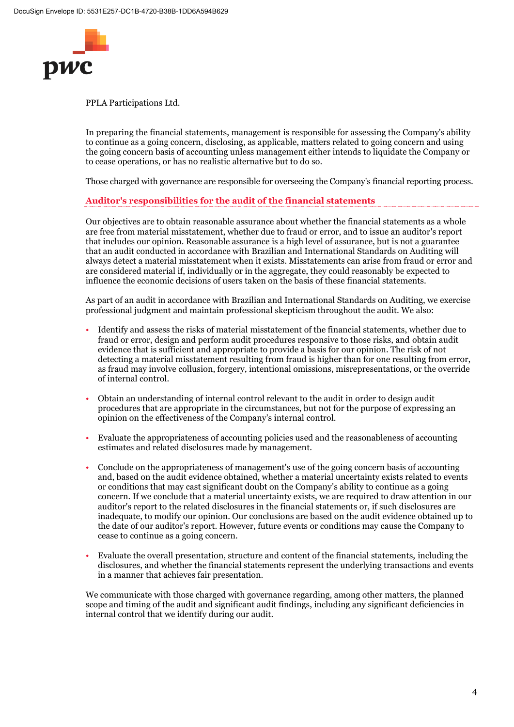

In preparing the financial statements, management is responsible for assessing the Company's ability to continue as a going concern, disclosing, as applicable, matters related to going concern and using the going concern basis of accounting unless management either intends to liquidate the Company or to cease operations, or has no realistic alternative but to do so.

Those charged with governance are responsible for overseeing the Company's financial reporting process.

#### **Auditor's responsibilities for the audit of the financial statements**

Our objectives are to obtain reasonable assurance about whether the financial statements as a whole are free from material misstatement, whether due to fraud or error, and to issue an auditor's report that includes our opinion. Reasonable assurance is a high level of assurance, but is not a guarantee that an audit conducted in accordance with Brazilian and International Standards on Auditing will always detect a material misstatement when it exists. Misstatements can arise from fraud or error and are considered material if, individually or in the aggregate, they could reasonably be expected to influence the economic decisions of users taken on the basis of these financial statements.

As part of an audit in accordance with Brazilian and International Standards on Auditing, we exercise professional judgment and maintain professional skepticism throughout the audit. We also:

- Identify and assess the risks of material misstatement of the financial statements, whether due to fraud or error, design and perform audit procedures responsive to those risks, and obtain audit evidence that is sufficient and appropriate to provide a basis for our opinion. The risk of not detecting a material misstatement resulting from fraud is higher than for one resulting from error, as fraud may involve collusion, forgery, intentional omissions, misrepresentations, or the override of internal control.
- Obtain an understanding of internal control relevant to the audit in order to design audit procedures that are appropriate in the circumstances, but not for the purpose of expressing an opinion on the effectiveness of the Company's internal control.
- Evaluate the appropriateness of accounting policies used and the reasonableness of accounting estimates and related disclosures made by management.
- Conclude on the appropriateness of management's use of the going concern basis of accounting and, based on the audit evidence obtained, whether a material uncertainty exists related to events or conditions that may cast significant doubt on the Company's ability to continue as a going concern. If we conclude that a material uncertainty exists, we are required to draw attention in our auditor's report to the related disclosures in the financial statements or, if such disclosures are inadequate, to modify our opinion. Our conclusions are based on the audit evidence obtained up to the date of our auditor's report. However, future events or conditions may cause the Company to cease to continue as a going concern.
- Evaluate the overall presentation, structure and content of the financial statements, including the disclosures, and whether the financial statements represent the underlying transactions and events in a manner that achieves fair presentation.

We communicate with those charged with governance regarding, among other matters, the planned scope and timing of the audit and significant audit findings, including any significant deficiencies in internal control that we identify during our audit.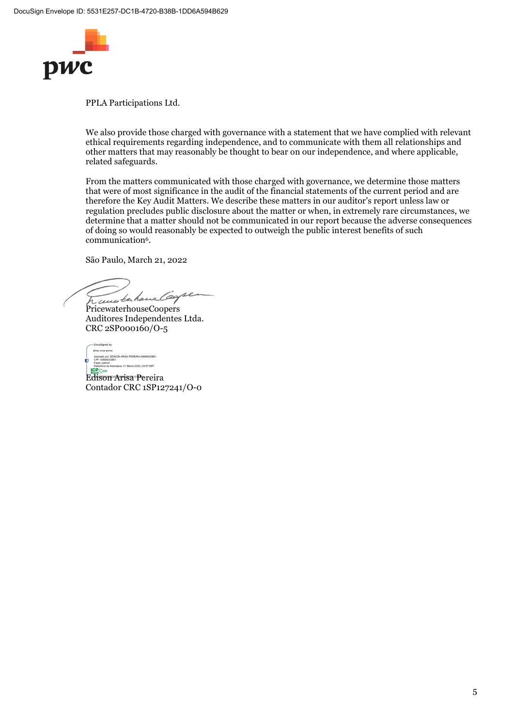

We also provide those charged with governance with a statement that we have complied with relevant ethical requirements regarding independence, and to communicate with them all relationships and other matters that may reasonably be thought to bear on our independence, and where applicable, related safeguards.

From the matters communicated with those charged with governance, we determine those matters that were of most significance in the audit of the financial statements of the current period and are therefore the Key Audit Matters. We describe these matters in our auditor's report unless law or regulation precludes public disclosure about the matter or when, in extremely rare circumstances, we determine that a matter should not be communicated in our report because the adverse consequences of doing so would reasonably be expected to outweigh the public interest benefits of such communication<sup>6</sup>.

São Paulo, March 21, 2022

Transferhaus Carpe

PricewaterhouseCoopers Auditores Independentes Ltda. CRC 2SP000160/O-5

Edison Arisa Pereira Compositor<br>
Copy Compositor<br>
Copy Compositor<br>
Copy Compositor<br>
Copy Copy Compositor<br>
Copy Copy Copy Copy Copy Copy Copy<br>
Busine Copy Copy Copy Copy Copy Copy<br>
Busine Copy Copy Copy Copy Copy Copy Copy<br>

Contador CRC 1SP127241/O-0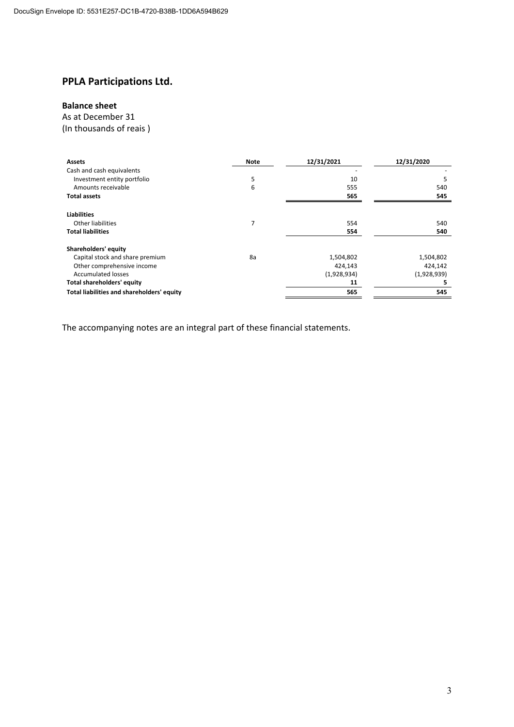### **Balance sheet**

#### As at December 31

(In thousands of reais )

| <b>Assets</b>                              | <b>Note</b> | 12/31/2021  | 12/31/2020  |
|--------------------------------------------|-------------|-------------|-------------|
| Cash and cash equivalents                  |             |             |             |
| Investment entity portfolio                | 5           | 10          | 5           |
| Amounts receivable                         | 6           | 555         | 540         |
| <b>Total assets</b>                        |             | 565         | 545         |
| <b>Liabilities</b>                         |             |             |             |
| <b>Other liabilities</b>                   | 7           | 554         | 540         |
| <b>Total liabilities</b>                   |             | 554         | 540         |
| Shareholders' equity                       |             |             |             |
| Capital stock and share premium            | 8a          | 1,504,802   | 1,504,802   |
| Other comprehensive income                 |             | 424,143     | 424,142     |
| <b>Accumulated losses</b>                  |             | (1,928,934) | (1,928,939) |
| <b>Total shareholders' equity</b>          |             | 11          |             |
| Total liabilities and shareholders' equity |             | 565         | 545         |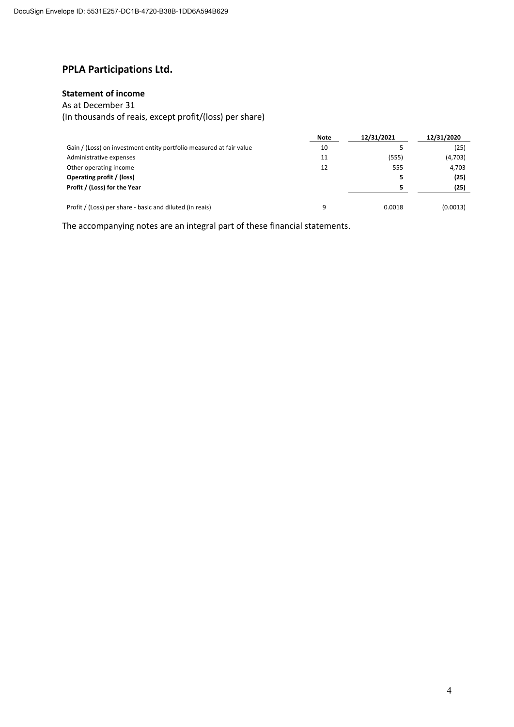#### **Statement of income**

#### As at December 31

(In thousands of reais, except profit/(loss) per share)

|                                                                     | <b>Note</b> | 12/31/2021 | 12/31/2020 |
|---------------------------------------------------------------------|-------------|------------|------------|
| Gain / (Loss) on investment entity portfolio measured at fair value | 10          |            | (25)       |
| Administrative expenses                                             | 11          | (555)      | (4,703)    |
| Other operating income                                              | 12          | 555        | 4,703      |
| Operating profit / (loss)                                           |             |            | (25)       |
| Profit / (Loss) for the Year                                        |             |            | (25)       |
|                                                                     |             |            |            |
| Profit / (Loss) per share - basic and diluted (in reais)            | q           | 0.0018     | (0.0013)   |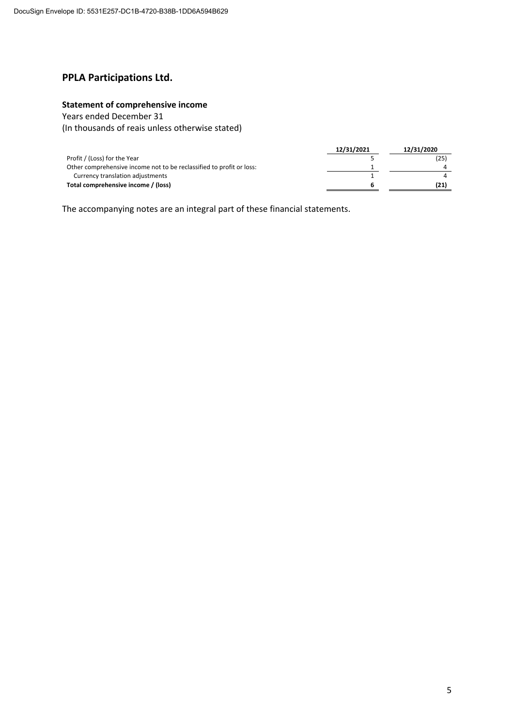### **Statement of comprehensive income**

Years ended December 31

(In thousands of reais unless otherwise stated)

|                                                                      | 12/31/2021 | 12/31/2020 |
|----------------------------------------------------------------------|------------|------------|
| Profit / (Loss) for the Year                                         |            | (25)       |
| Other comprehensive income not to be reclassified to profit or loss: |            |            |
| Currency translation adjustments                                     |            |            |
| Total comprehensive income / (loss)                                  |            | (21)       |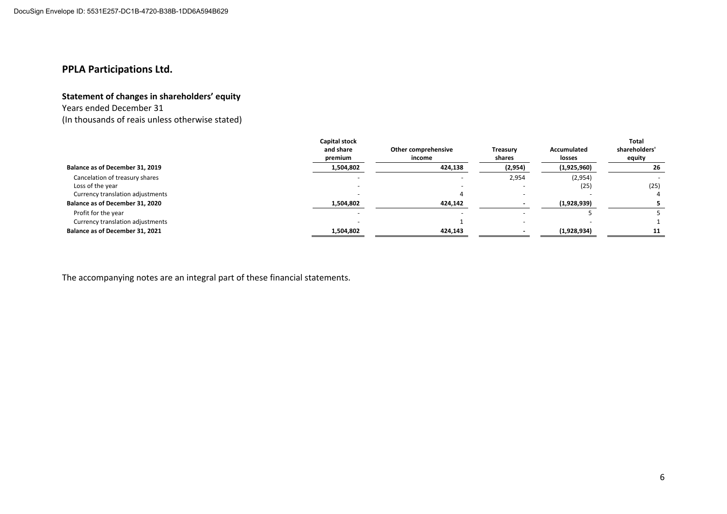#### **Statement of changes in shareholders' equity**

Years ended December 31

(In thousands of reais unless otherwise stated)

|                                  | Capital stock<br>and share<br>premium | Other comprehensive<br>income | <b>Treasury</b><br>shares | Accumulated<br>losses | Total<br>shareholders'<br>equity |
|----------------------------------|---------------------------------------|-------------------------------|---------------------------|-----------------------|----------------------------------|
| Balance as of December 31, 2019  | 1,504,802                             | 424,138                       | (2,954)                   | (1,925,960)           | 26                               |
| Cancelation of treasury shares   |                                       |                               | 2,954                     | (2,954)               |                                  |
| Loss of the year                 |                                       |                               |                           | (25)                  | (25)                             |
| Currency translation adjustments |                                       |                               |                           |                       |                                  |
| Balance as of December 31, 2020  | 1,504,802                             | 424,142                       |                           | (1,928,939)           |                                  |
| Profit for the year              |                                       |                               |                           |                       |                                  |
| Currency translation adjustments |                                       |                               |                           |                       |                                  |
| Balance as of December 31, 2021  | 1,504,802                             | 424,143                       |                           | (1,928,934)           | 11                               |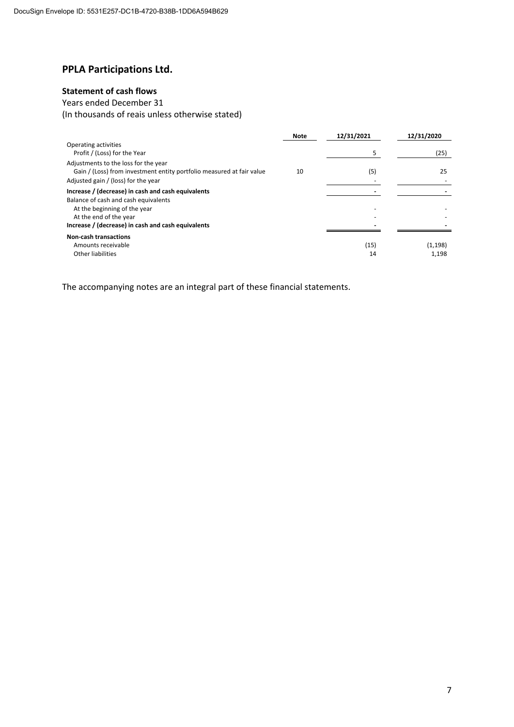### **Statement of cash flows**

# Years ended December 31

(In thousands of reais unless otherwise stated)

|                                                                                                                                                      | <b>Note</b> | 12/31/2021 | 12/31/2020       |
|------------------------------------------------------------------------------------------------------------------------------------------------------|-------------|------------|------------------|
| Operating activities<br>Profit / (Loss) for the Year                                                                                                 |             | 5          | (25)             |
| Adjustments to the loss for the year<br>Gain / (Loss) from investment entity portfolio measured at fair value<br>Adjusted gain / (loss) for the year | 10          | (5)        | 25               |
| Increase / (decrease) in cash and cash equivalents                                                                                                   |             |            |                  |
| Balance of cash and cash equivalents<br>At the beginning of the year<br>At the end of the year<br>Increase / (decrease) in cash and cash equivalents |             |            |                  |
| <b>Non-cash transactions</b>                                                                                                                         |             |            |                  |
| Amounts receivable<br><b>Other liabilities</b>                                                                                                       |             | (15)<br>14 | (1,198)<br>1.198 |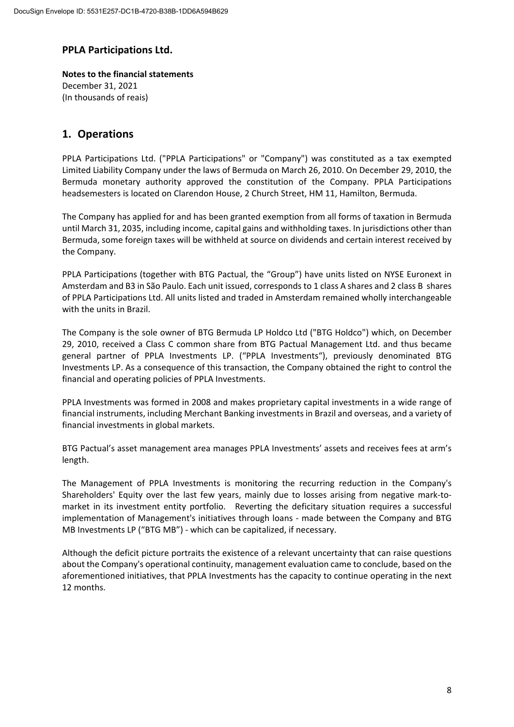**Notes to the financial statements** December 31, 2021 (In thousands of reais)

# **1. Operations**

PPLA Participations Ltd. ("PPLA Participations" or "Company") was constituted as a tax exempted Limited Liability Company under the laws of Bermuda on March 26, 2010. On December 29, 2010, the Bermuda monetary authority approved the constitution of the Company. PPLA Participations headsemesters is located on Clarendon House, 2 Church Street, HM 11, Hamilton, Bermuda.

The Company has applied for and has been granted exemption from all forms of taxation in Bermuda until March 31, 2035, including income, capital gains and withholding taxes. In jurisdictions other than Bermuda, some foreign taxes will be withheld at source on dividends and certain interest received by the Company.

PPLA Participations (together with BTG Pactual, the "Group") have units listed on NYSE Euronext in Amsterdam and B3 in São Paulo. Each unit issued, corresponds to 1 class A shares and 2 class B shares of PPLA Participations Ltd. All units listed and traded in Amsterdam remained wholly interchangeable with the units in Brazil.

The Company is the sole owner of BTG Bermuda LP Holdco Ltd ("BTG Holdco") which, on December 29, 2010, received a Class C common share from BTG Pactual Management Ltd. and thus became general partner of PPLA Investments LP. ("PPLA Investments"), previously denominated BTG Investments LP. As a consequence of this transaction, the Company obtained the right to control the financial and operating policies of PPLA Investments.

PPLA Investments was formed in 2008 and makes proprietary capital investments in a wide range of financial instruments, including Merchant Banking investments in Brazil and overseas, and a variety of financial investments in global markets.

BTG Pactual's asset management area manages PPLA Investments' assets and receives fees at arm's length.

The Management of PPLA Investments is monitoring the recurring reduction in the Company's Shareholders' Equity over the last few years, mainly due to losses arising from negative mark‐to‐ market in its investment entity portfolio. Reverting the deficitary situation requires a successful implementation of Management's initiatives through loans ‐ made between the Company and BTG MB Investments LP ("BTG MB") ‐ which can be capitalized, if necessary.

Although the deficit picture portraits the existence of a relevant uncertainty that can raise questions about the Company's operational continuity, management evaluation came to conclude, based on the aforementioned initiatives, that PPLA Investments has the capacity to continue operating in the next 12 months.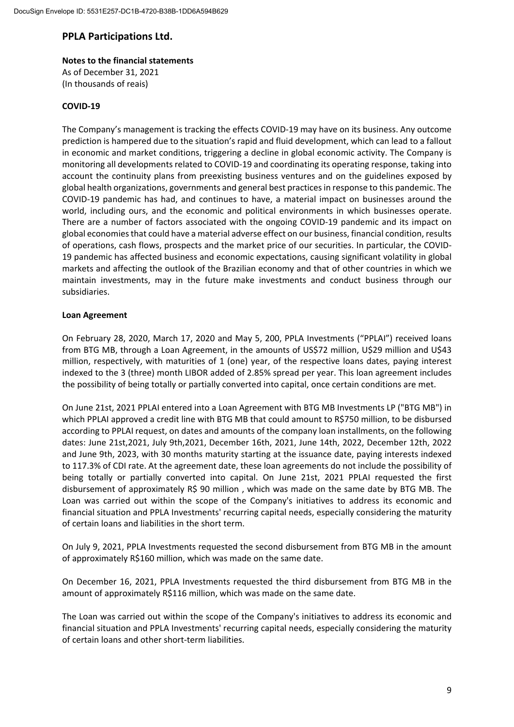# **Notes to the financial statements**

As of December 31, 2021 (In thousands of reais)

#### **COVID‐19**

The Company's management is tracking the effects COVID‐19 may have on its business. Any outcome prediction is hampered due to the situation's rapid and fluid development, which can lead to a fallout in economic and market conditions, triggering a decline in global economic activity. The Company is monitoring all developments related to COVID‐19 and coordinating its operating response, taking into account the continuity plans from preexisting business ventures and on the guidelines exposed by global health organizations, governments and general best practicesin response to this pandemic. The COVID‐19 pandemic has had, and continues to have, a material impact on businesses around the world, including ours, and the economic and political environments in which businesses operate. There are a number of factors associated with the ongoing COVID‐19 pandemic and its impact on global economiesthat could have a material adverse effect on our business, financial condition, results of operations, cash flows, prospects and the market price of our securities. In particular, the COVID‐ 19 pandemic has affected business and economic expectations, causing significant volatility in global markets and affecting the outlook of the Brazilian economy and that of other countries in which we maintain investments, may in the future make investments and conduct business through our subsidiaries.

#### **Loan Agreement**

On February 28, 2020, March 17, 2020 and May 5, 200, PPLA Investments ("PPLAI") received loans from BTG MB, through a Loan Agreement, in the amounts of US\$72 million, U\$29 million and U\$43 million, respectively, with maturities of 1 (one) year, of the respective loans dates, paying interest indexed to the 3 (three) month LIBOR added of 2.85% spread per year. This loan agreement includes the possibility of being totally or partially converted into capital, once certain conditions are met.

On June 21st, 2021 PPLAI entered into a Loan Agreement with BTG MB Investments LP ("BTG MB") in which PPLAI approved a credit line with BTG MB that could amount to R\$750 million, to be disbursed according to PPLAI request, on dates and amounts of the company loan installments, on the following dates: June 21st,2021, July 9th,2021, December 16th, 2021, June 14th, 2022, December 12th, 2022 and June 9th, 2023, with 30 months maturity starting at the issuance date, paying interests indexed to 117.3% of CDI rate. At the agreement date, these loan agreements do not include the possibility of being totally or partially converted into capital. On June 21st, 2021 PPLAI requested the first disbursement of approximately R\$ 90 million , which was made on the same date by BTG MB. The Loan was carried out within the scope of the Company's initiatives to address its economic and financial situation and PPLA Investments' recurring capital needs, especially considering the maturity of certain loans and liabilities in the short term.

On July 9, 2021, PPLA Investments requested the second disbursement from BTG MB in the amount of approximately R\$160 million, which was made on the same date.

On December 16, 2021, PPLA Investments requested the third disbursement from BTG MB in the amount of approximately R\$116 million, which was made on the same date.

The Loan was carried out within the scope of the Company's initiatives to address its economic and financial situation and PPLA Investments' recurring capital needs, especially considering the maturity of certain loans and other short‐term liabilities.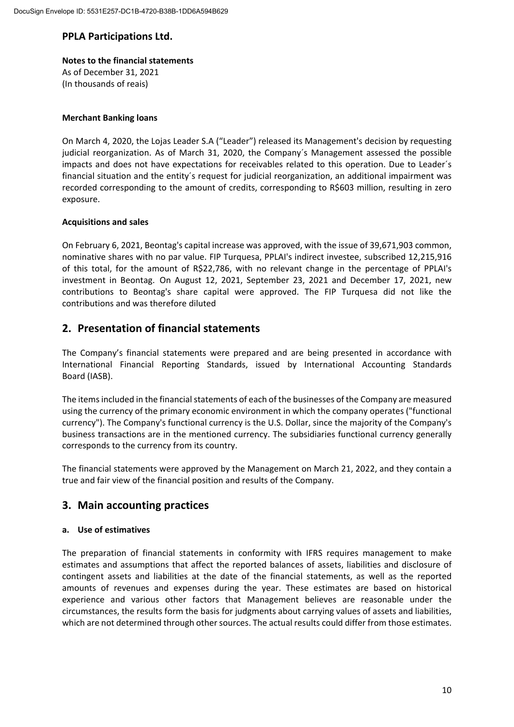# **Notes to the financial statements**

As of December 31, 2021 (In thousands of reais)

#### **Merchant Banking loans**

On March 4, 2020, the Lojas Leader S.A ("Leader") released its Management's decision by requesting judicial reorganization. As of March 31, 2020, the Company´s Management assessed the possible impacts and does not have expectations for receivables related to this operation. Due to Leader´s financial situation and the entity´s request for judicial reorganization, an additional impairment was recorded corresponding to the amount of credits, corresponding to R\$603 million, resulting in zero exposure.

#### **Acquisitions and sales**

On February 6, 2021, Beontag's capital increase was approved, with the issue of 39,671,903 common, nominative shares with no par value. FIP Turquesa, PPLAI's indirect investee, subscribed 12,215,916 of this total, for the amount of R\$22,786, with no relevant change in the percentage of PPLAI's investment in Beontag. On August 12, 2021, September 23, 2021 and December 17, 2021, new contributions to Beontag's share capital were approved. The FIP Turquesa did not like the contributions and was therefore diluted

# **2. Presentation of financial statements**

The Company's financial statements were prepared and are being presented in accordance with International Financial Reporting Standards, issued by International Accounting Standards Board (IASB).

The items included in the financial statements of each of the businesses of the Company are measured using the currency of the primary economic environment in which the company operates ("functional currency"). The Company's functional currency is the U.S. Dollar, since the majority of the Company's business transactions are in the mentioned currency. The subsidiaries functional currency generally corresponds to the currency from its country.

The financial statements were approved by the Management on March 21, 2022, and they contain a true and fair view of the financial position and results of the Company.

# **3. Main accounting practices**

#### **a. Use of estimatives**

The preparation of financial statements in conformity with IFRS requires management to make estimates and assumptions that affect the reported balances of assets, liabilities and disclosure of contingent assets and liabilities at the date of the financial statements, as well as the reported amounts of revenues and expenses during the year. These estimates are based on historical experience and various other factors that Management believes are reasonable under the circumstances, the results form the basis for judgments about carrying values of assets and liabilities, which are not determined through other sources. The actual results could differ from those estimates.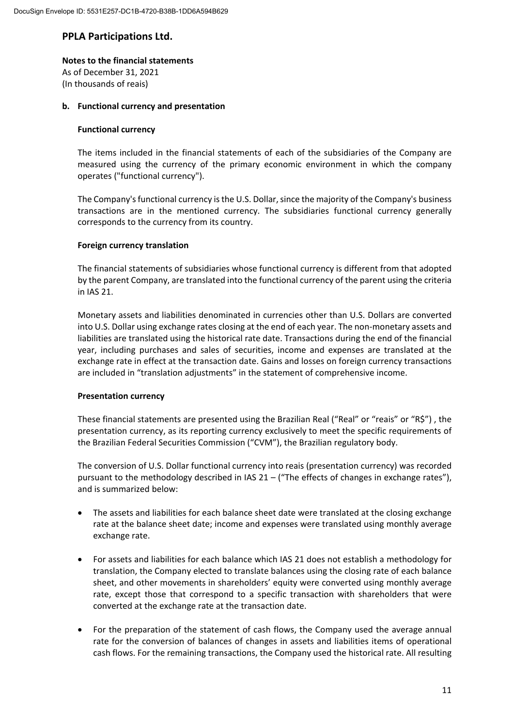#### **Notes to the financial statements**

As of December 31, 2021 (In thousands of reais)

#### **b. Functional currency and presentation**

#### **Functional currency**

The items included in the financial statements of each of the subsidiaries of the Company are measured using the currency of the primary economic environment in which the company operates ("functional currency").

The Company's functional currency is the U.S. Dollar, since the majority of the Company's business transactions are in the mentioned currency. The subsidiaries functional currency generally corresponds to the currency from its country.

#### **Foreign currency translation**

The financial statements of subsidiaries whose functional currency is different from that adopted by the parent Company, are translated into the functional currency of the parent using the criteria in IAS 21.

Monetary assets and liabilities denominated in currencies other than U.S. Dollars are converted into U.S. Dollar using exchange rates closing at the end of each year. The non-monetary assets and liabilities are translated using the historical rate date. Transactions during the end of the financial year, including purchases and sales of securities, income and expenses are translated at the exchange rate in effect at the transaction date. Gains and losses on foreign currency transactions are included in "translation adjustments" in the statement of comprehensive income.

#### **Presentation currency**

These financial statements are presented using the Brazilian Real ("Real" or "reais" or "R\$") , the presentation currency, as its reporting currency exclusively to meet the specific requirements of the Brazilian Federal Securities Commission ("CVM"), the Brazilian regulatory body.

The conversion of U.S. Dollar functional currency into reais (presentation currency) was recorded pursuant to the methodology described in IAS  $21 -$  ("The effects of changes in exchange rates"), and is summarized below:

- The assets and liabilities for each balance sheet date were translated at the closing exchange rate at the balance sheet date; income and expenses were translated using monthly average exchange rate.
- For assets and liabilities for each balance which IAS 21 does not establish a methodology for translation, the Company elected to translate balances using the closing rate of each balance sheet, and other movements in shareholders' equity were converted using monthly average rate, except those that correspond to a specific transaction with shareholders that were converted at the exchange rate at the transaction date.
- For the preparation of the statement of cash flows, the Company used the average annual rate for the conversion of balances of changes in assets and liabilities items of operational cash flows. For the remaining transactions, the Company used the historical rate. All resulting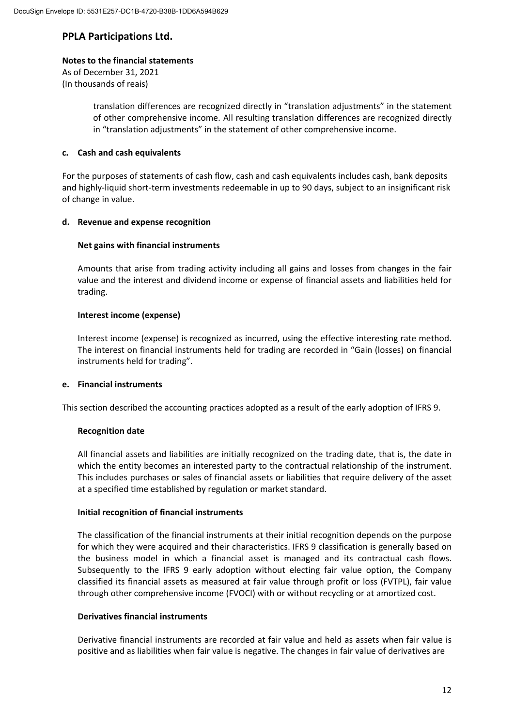#### **Notes to the financial statements**

As of December 31, 2021 (In thousands of reais)

> translation differences are recognized directly in "translation adjustments" in the statement of other comprehensive income. All resulting translation differences are recognized directly in "translation adjustments" in the statement of other comprehensive income.

#### **c. Cash and cash equivalents**

For the purposes of statements of cash flow, cash and cash equivalents includes cash, bank deposits and highly‐liquid short‐term investments redeemable in up to 90 days, subject to an insignificant risk of change in value.

#### **d. Revenue and expense recognition**

#### **Net gains with financial instruments**

Amounts that arise from trading activity including all gains and losses from changes in the fair value and the interest and dividend income or expense of financial assets and liabilities held for trading.

#### **Interest income (expense)**

Interest income (expense) is recognized as incurred, using the effective interesting rate method. The interest on financial instruments held for trading are recorded in "Gain (losses) on financial instruments held for trading".

#### **e. Financial instruments**

This section described the accounting practices adopted as a result of the early adoption of IFRS 9.

#### **Recognition date**

All financial assets and liabilities are initially recognized on the trading date, that is, the date in which the entity becomes an interested party to the contractual relationship of the instrument. This includes purchases or sales of financial assets or liabilities that require delivery of the asset at a specified time established by regulation or market standard.

#### **Initial recognition of financial instruments**

The classification of the financial instruments at their initial recognition depends on the purpose for which they were acquired and their characteristics. IFRS 9 classification is generally based on the business model in which a financial asset is managed and its contractual cash flows. Subsequently to the IFRS 9 early adoption without electing fair value option, the Company classified its financial assets as measured at fair value through profit or loss (FVTPL), fair value through other comprehensive income (FVOCI) with or without recycling or at amortized cost.

#### **Derivatives financial instruments**

Derivative financial instruments are recorded at fair value and held as assets when fair value is positive and as liabilities when fair value is negative. The changes in fair value of derivatives are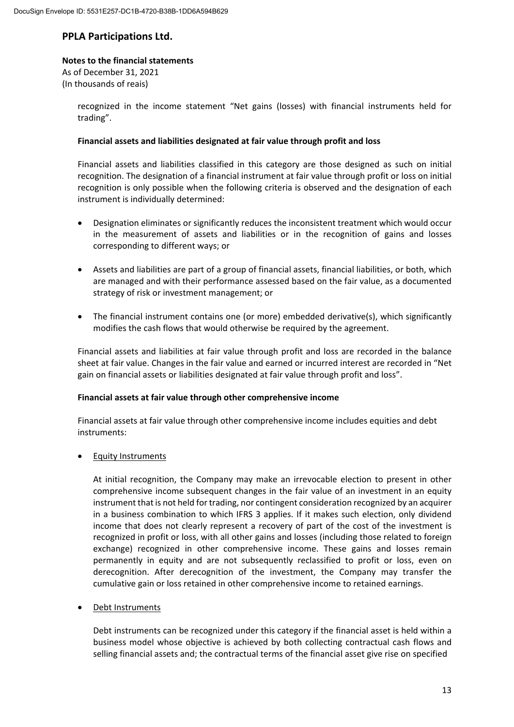#### **Notes to the financial statements**

As of December 31, 2021 (In thousands of reais)

> recognized in the income statement "Net gains (losses) with financial instruments held for trading".

#### **Financial assets and liabilities designated at fair value through profit and loss**

Financial assets and liabilities classified in this category are those designed as such on initial recognition. The designation of a financial instrument at fair value through profit or loss on initial recognition is only possible when the following criteria is observed and the designation of each instrument is individually determined:

- Designation eliminates or significantly reduces the inconsistent treatment which would occur in the measurement of assets and liabilities or in the recognition of gains and losses corresponding to different ways; or
- Assets and liabilities are part of a group of financial assets, financial liabilities, or both, which are managed and with their performance assessed based on the fair value, as a documented strategy of risk or investment management; or
- The financial instrument contains one (or more) embedded derivative(s), which significantly modifies the cash flows that would otherwise be required by the agreement.

Financial assets and liabilities at fair value through profit and loss are recorded in the balance sheet at fair value. Changes in the fair value and earned or incurred interest are recorded in "Net gain on financial assets or liabilities designated at fair value through profit and loss".

#### **Financial assets at fair value through other comprehensive income**

Financial assets at fair value through other comprehensive income includes equities and debt instruments:

• Equity Instruments

At initial recognition, the Company may make an irrevocable election to present in other comprehensive income subsequent changes in the fair value of an investment in an equity instrument that is not held for trading, nor contingent consideration recognized by an acquirer in a business combination to which IFRS 3 applies. If it makes such election, only dividend income that does not clearly represent a recovery of part of the cost of the investment is recognized in profit or loss, with all other gains and losses (including those related to foreign exchange) recognized in other comprehensive income. These gains and losses remain permanently in equity and are not subsequently reclassified to profit or loss, even on derecognition. After derecognition of the investment, the Company may transfer the cumulative gain or loss retained in other comprehensive income to retained earnings.

#### Debt Instruments

Debt instruments can be recognized under this category if the financial asset is held within a business model whose objective is achieved by both collecting contractual cash flows and selling financial assets and; the contractual terms of the financial asset give rise on specified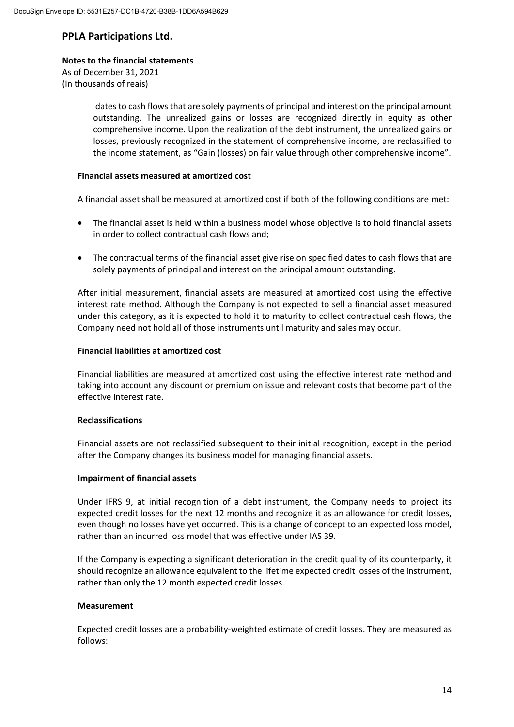#### **Notes to the financial statements**

As of December 31, 2021 (In thousands of reais)

> dates to cash flows that are solely payments of principal and interest on the principal amount outstanding. The unrealized gains or losses are recognized directly in equity as other comprehensive income. Upon the realization of the debt instrument, the unrealized gains or losses, previously recognized in the statement of comprehensive income, are reclassified to the income statement, as "Gain (losses) on fair value through other comprehensive income".

#### **Financial assets measured at amortized cost**

A financial asset shall be measured at amortized cost if both of the following conditions are met:

- The financial asset is held within a business model whose objective is to hold financial assets in order to collect contractual cash flows and;
- The contractual terms of the financial asset give rise on specified dates to cash flows that are solely payments of principal and interest on the principal amount outstanding.

After initial measurement, financial assets are measured at amortized cost using the effective interest rate method. Although the Company is not expected to sell a financial asset measured under this category, as it is expected to hold it to maturity to collect contractual cash flows, the Company need not hold all of those instruments until maturity and sales may occur.

#### **Financial liabilities at amortized cost**

Financial liabilities are measured at amortized cost using the effective interest rate method and taking into account any discount or premium on issue and relevant costs that become part of the effective interest rate.

#### **Reclassifications**

Financial assets are not reclassified subsequent to their initial recognition, except in the period after the Company changes its business model for managing financial assets.

#### **Impairment of financial assets**

Under IFRS 9, at initial recognition of a debt instrument, the Company needs to project its expected credit losses for the next 12 months and recognize it as an allowance for credit losses, even though no losses have yet occurred. This is a change of concept to an expected loss model. rather than an incurred loss model that was effective under IAS 39.

If the Company is expecting a significant deterioration in the credit quality of its counterparty, it should recognize an allowance equivalent to the lifetime expected credit losses of the instrument, rather than only the 12 month expected credit losses.

#### **Measurement**

Expected credit losses are a probability-weighted estimate of credit losses. They are measured as follows: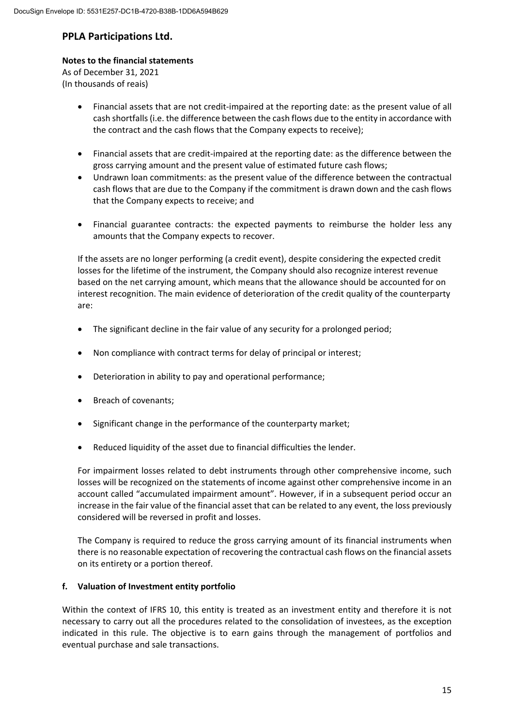### **Notes to the financial statements**

As of December 31, 2021 (In thousands of reais)

- Financial assets that are not credit‐impaired at the reporting date: as the present value of all cash shortfalls(i.e. the difference between the cash flows due to the entity in accordance with the contract and the cash flows that the Company expects to receive);
- Financial assets that are credit‐impaired at the reporting date: as the difference between the gross carrying amount and the present value of estimated future cash flows;
- Undrawn loan commitments: as the present value of the difference between the contractual cash flows that are due to the Company if the commitment is drawn down and the cash flows that the Company expects to receive; and
- Financial guarantee contracts: the expected payments to reimburse the holder less any amounts that the Company expects to recover.

If the assets are no longer performing (a credit event), despite considering the expected credit losses for the lifetime of the instrument, the Company should also recognize interest revenue based on the net carrying amount, which means that the allowance should be accounted for on interest recognition. The main evidence of deterioration of the credit quality of the counterparty are:

- The significant decline in the fair value of any security for a prolonged period;
- Non compliance with contract terms for delay of principal or interest;
- Deterioration in ability to pay and operational performance;
- Breach of covenants;
- Significant change in the performance of the counterparty market;
- Reduced liquidity of the asset due to financial difficulties the lender.

For impairment losses related to debt instruments through other comprehensive income, such losses will be recognized on the statements of income against other comprehensive income in an account called "accumulated impairment amount". However, if in a subsequent period occur an increase in the fair value of the financial asset that can be related to any event, the loss previously considered will be reversed in profit and losses.

The Company is required to reduce the gross carrying amount of its financial instruments when there is no reasonable expectation of recovering the contractual cash flows on the financial assets on its entirety or a portion thereof.

#### **f. Valuation of Investment entity portfolio**

Within the context of IFRS 10, this entity is treated as an investment entity and therefore it is not necessary to carry out all the procedures related to the consolidation of investees, as the exception indicated in this rule. The objective is to earn gains through the management of portfolios and eventual purchase and sale transactions.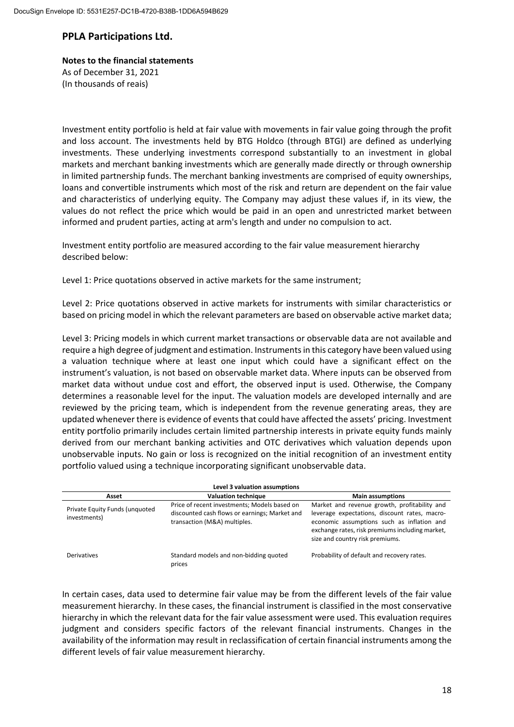# **Notes to the financial statements** As of December 31, 2021

(In thousands of reais)

Investment entity portfolio is held at fair value with movements in fair value going through the profit and loss account. The investments held by BTG Holdco (through BTGI) are defined as underlying investments. These underlying investments correspond substantially to an investment in global markets and merchant banking investments which are generally made directly or through ownership in limited partnership funds. The merchant banking investments are comprised of equity ownerships, loans and convertible instruments which most of the risk and return are dependent on the fair value and characteristics of underlying equity. The Company may adjust these values if, in its view, the values do not reflect the price which would be paid in an open and unrestricted market between informed and prudent parties, acting at arm's length and under no compulsion to act.

Investment entity portfolio are measured according to the fair value measurement hierarchy described below:

Level 1: Price quotations observed in active markets for the same instrument;

Level 2: Price quotations observed in active markets for instruments with similar characteristics or based on pricing model in which the relevant parameters are based on observable active market data;

Level 3: Pricing models in which current market transactions or observable data are not available and require a high degree of judgment and estimation. Instrumentsin this category have been valued using a valuation technique where at least one input which could have a significant effect on the instrument's valuation, is not based on observable market data. Where inputs can be observed from market data without undue cost and effort, the observed input is used. Otherwise, the Company determines a reasonable level for the input. The valuation models are developed internally and are reviewed by the pricing team, which is independent from the revenue generating areas, they are updated whenever there is evidence of events that could have affected the assets' pricing. Investment entity portfolio primarily includes certain limited partnership interests in private equity funds mainly derived from our merchant banking activities and OTC derivatives which valuation depends upon unobservable inputs. No gain or loss is recognized on the initial recognition of an investment entity portfolio valued using a technique incorporating significant unobservable data.

| Level 3 valuation assumptions                  |                                                                                                                               |                                                                                                                                                                                                                                   |  |  |
|------------------------------------------------|-------------------------------------------------------------------------------------------------------------------------------|-----------------------------------------------------------------------------------------------------------------------------------------------------------------------------------------------------------------------------------|--|--|
| Asset                                          | <b>Valuation technique</b>                                                                                                    | <b>Main assumptions</b>                                                                                                                                                                                                           |  |  |
| Private Equity Funds (unquoted<br>investments) | Price of recent investments; Models based on<br>discounted cash flows or earnings; Market and<br>transaction (M&A) multiples. | Market and revenue growth, profitability and<br>leverage expectations, discount rates, macro-<br>economic assumptions such as inflation and<br>exchange rates, risk premiums including market,<br>size and country risk premiums. |  |  |
| <b>Derivatives</b>                             | Standard models and non-bidding quoted<br>prices                                                                              | Probability of default and recovery rates.                                                                                                                                                                                        |  |  |

In certain cases, data used to determine fair value may be from the different levels of the fair value measurement hierarchy. In these cases, the financial instrument is classified in the most conservative hierarchy in which the relevant data for the fair value assessment were used. This evaluation requires judgment and considers specific factors of the relevant financial instruments. Changes in the availability of the information may result in reclassification of certain financial instruments among the different levels of fair value measurement hierarchy.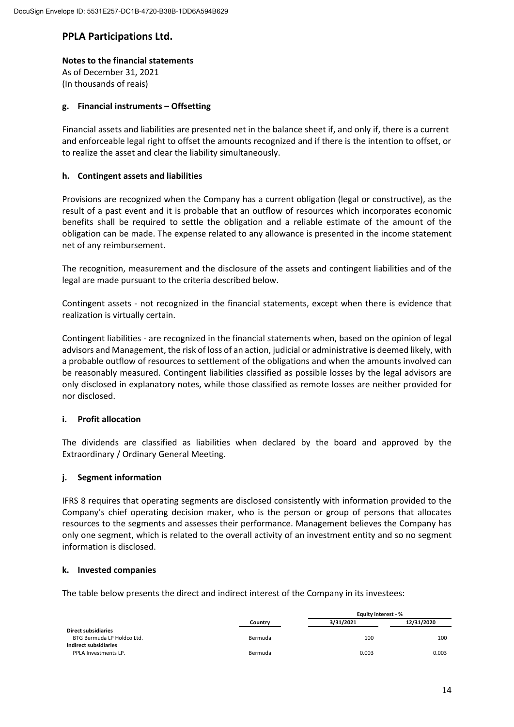#### **Notes to the financial statements**

As of December 31, 2021 (In thousands of reais)

#### **g. Financial instruments – Offsetting**

Financial assets and liabilities are presented net in the balance sheet if, and only if, there is a current and enforceable legal right to offset the amounts recognized and if there is the intention to offset, or to realize the asset and clear the liability simultaneously.

#### **h. Contingent assets and liabilities**

Provisions are recognized when the Company has a current obligation (legal or constructive), as the result of a past event and it is probable that an outflow of resources which incorporates economic benefits shall be required to settle the obligation and a reliable estimate of the amount of the obligation can be made. The expense related to any allowance is presented in the income statement net of any reimbursement.

The recognition, measurement and the disclosure of the assets and contingent liabilities and of the legal are made pursuant to the criteria described below.

Contingent assets ‐ not recognized in the financial statements, except when there is evidence that realization is virtually certain.

Contingent liabilities ‐ are recognized in the financial statements when, based on the opinion of legal advisors and Management, the risk of loss of an action, judicial or administrative is deemed likely, with a probable outflow of resources to settlement of the obligations and when the amounts involved can be reasonably measured. Contingent liabilities classified as possible losses by the legal advisors are only disclosed in explanatory notes, while those classified as remote losses are neither provided for nor disclosed.

#### **i. Profit allocation**

The dividends are classified as liabilities when declared by the board and approved by the Extraordinary / Ordinary General Meeting.

#### **j. Segment information**

IFRS 8 requires that operating segments are disclosed consistently with information provided to the Company's chief operating decision maker, who is the person or group of persons that allocates resources to the segments and assesses their performance. Management believes the Company has only one segment, which is related to the overall activity of an investment entity and so no segment information is disclosed.

#### **k. Invested companies**

The table below presents the direct and indirect interest of the Company in its investees:

|                            |         | Equity interest - % |            |  |
|----------------------------|---------|---------------------|------------|--|
|                            | Country | 3/31/2021           | 12/31/2020 |  |
| <b>Direct subsidiaries</b> |         |                     |            |  |
| BTG Bermuda LP Holdco Ltd. | Bermuda | 100                 | 100        |  |
| Indirect subsidiaries      |         |                     |            |  |
| PPLA Investments LP.       | Bermuda | 0.003               | 0.003      |  |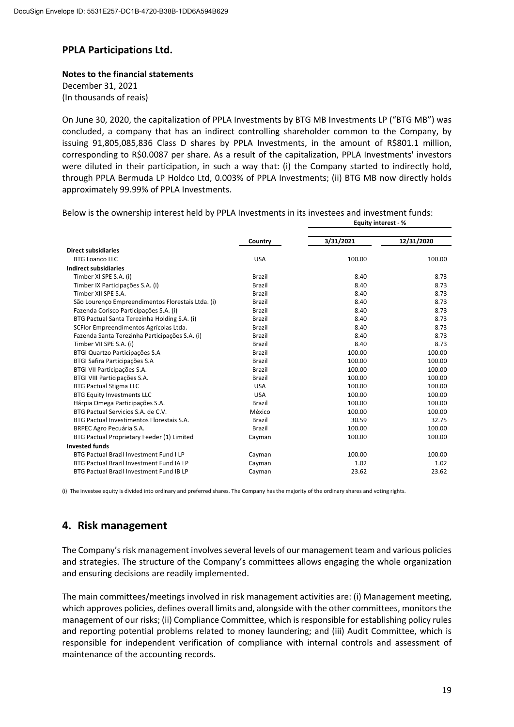**Notes to the financial statements** December 31, 2021 (In thousands of reais)

On June 30, 2020, the capitalization of PPLA Investments by BTG MB Investments LP ("BTG MB") was concluded, a company that has an indirect controlling shareholder common to the Company, by issuing 91,805,085,836 Class D shares by PPLA Investments, in the amount of R\$801.1 million, corresponding to R\$0.0087 per share. As a result of the capitalization, PPLA Investments' investors were diluted in their participation, in such a way that: (i) the Company started to indirectly hold, through PPLA Bermuda LP Holdco Ltd, 0.003% of PPLA Investments; (ii) BTG MB now directly holds approximately 99.99% of PPLA Investments.

  **Country 3/31/2021 12/31/2020 Direct subsidiaries** BTG Loanco LLC USA 100.00 100.00 **Indirect subsidiaries** Timber XI SPE S.A. (i) 8.73 Timber IX Participações S.A. (i)  $Brazil$  Brazil 8.40 8.73 Timber XII SPE S.A. 8.73 São Lourenço Empreendimentos Florestais Ltda. (i) Brazil 8.73 8.40 8.73 Fazenda Corisco Participações S.A. (i) Brazil 8.40 8.73 BTG Pactual Santa Terezinha Holding S.A. (i) Brazil 8.40 8.73 SCFlor Empreendimentos Agrícolas Ltda. Brazil 8.40 8.73 Fazenda Santa Terezinha Participações S.A. (i) Brazil 8.40 8.73 Timber VII SPE S.A. (i) 8.73 BTGI Quartzo Participações S.A Brazil Brazil 100.00 100.00 100.00 BTGI Safira Participações S.A Brazil 100.00 100.00 100.00 100.00 BTGI VII Participações S.A. Brazil 100.00 100.00 BTGI VIII Participações S.A. Brazil 100.00 100.00 BTG Pactual Stigma LLC **100.00** 100.00 100.00 100.00 100.00 100.00 BTG Equity Investments LLC **100.00** USA 100.00 100.00 100.00 Hárpia Omega Participações S.A. Brazil 100.00 100.00 BTG Pactual Servicios S.A. de C.V.<br>BTG Pactual Investimentos Florestais S.A. (100.00 100.00 100.00 100.00 100.00 100.00 100.00 100.00 100.00 100 BTG Pactual Investimentos Florestais S.A. Brazil 30.59 32.75 Publish BRPEC Agro Pecuária S.A. 100.00 and the control of the case of the case of the case of the case of the case of the case of the case of the case of the case of the case of the case of the case of the case of the cas BTG Pactual Proprietary Feeder (1) Limited Cayman 100.00 100.00 **Invested funds** BTG Pactual Brazil Investment Fund I LP Cayman 100.00 100.00 100.00 100.00 BTG Pactual Brazil Investment Fund IA LP Cayman Cayman 1.02 1.02 1.02 BTG Pactual Brazil Investment Fund IB LP Cayman 23.62 23.62 23.62

Below is the ownership interest held by PPLA Investments in its investees and investment funds: **Equity interest ‐ %**

(i) The investee equity is divided into ordinary and preferred shares. The Company has the majority of the ordinary shares and voting rights.

# **4. Risk management**

The Company's risk management involves several levels of our management team and various policies and strategies. The structure of the Company's committees allows engaging the whole organization and ensuring decisions are readily implemented.

The main committees/meetings involved in risk management activities are: (i) Management meeting, which approves policies, defines overall limits and, alongside with the other committees, monitors the management of our risks; (ii) Compliance Committee, which is responsible for establishing policy rules and reporting potential problems related to money laundering; and (iii) Audit Committee, which is responsible for independent verification of compliance with internal controls and assessment of maintenance of the accounting records.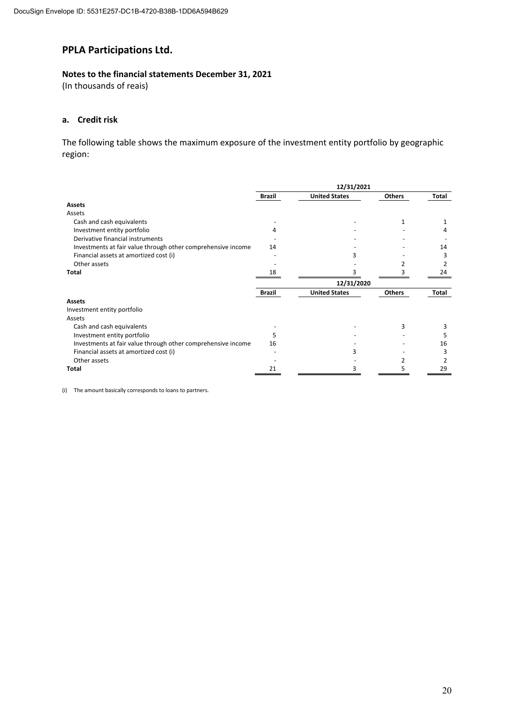#### **Notes to the financial statements December 31, 2021**

(In thousands of reais)

#### **a. Credit risk**

The following table shows the maximum exposure of the investment entity portfolio by geographic region:

|                                                              | 12/31/2021    |                      |               |       |
|--------------------------------------------------------------|---------------|----------------------|---------------|-------|
|                                                              | <b>Brazil</b> | <b>United States</b> | <b>Others</b> | Total |
| <b>Assets</b>                                                |               |                      |               |       |
| Assets                                                       |               |                      |               |       |
| Cash and cash equivalents                                    |               |                      | 1             |       |
| Investment entity portfolio                                  | 4             |                      |               |       |
| Derivative financial instruments                             |               |                      |               |       |
| Investments at fair value through other comprehensive income | 14            |                      |               | 14    |
| Financial assets at amortized cost (i)                       |               |                      |               |       |
| Other assets                                                 |               |                      |               |       |
| <b>Total</b>                                                 | 18            |                      |               | 24    |
|                                                              |               | 12/31/2020           |               |       |
|                                                              | <b>Brazil</b> | <b>United States</b> | <b>Others</b> | Total |
| <b>Assets</b>                                                |               |                      |               |       |
| Investment entity portfolio                                  |               |                      |               |       |
| Assets                                                       |               |                      |               |       |
| Cash and cash equivalents                                    |               |                      | 3             |       |
| Investment entity portfolio                                  | 5             |                      |               |       |
| Investments at fair value through other comprehensive income | 16            |                      |               | 16    |
| Financial assets at amortized cost (i)                       |               |                      |               |       |
| Other assets                                                 |               |                      |               |       |
| Total                                                        | 21            | 3                    | 5             | 29    |

(i) The amount basically corresponds to loans to partners.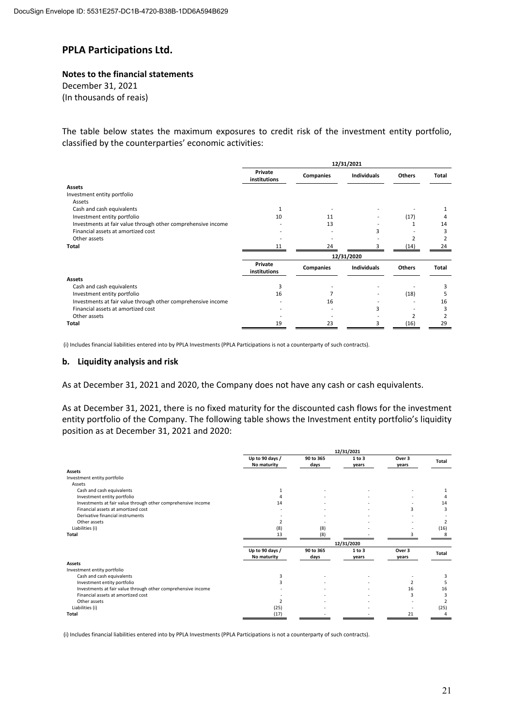#### **Notes to the financial statements** December 31, 2021

(In thousands of reais)

The table below states the maximum exposures to credit risk of the investment entity portfolio, classified by the counterparties' economic activities:

|                                                              | 12/31/2021              |                  |                    |               |       |
|--------------------------------------------------------------|-------------------------|------------------|--------------------|---------------|-------|
|                                                              | Private<br>institutions | Companies        | <b>Individuals</b> | Others        | Total |
| <b>Assets</b>                                                |                         |                  |                    |               |       |
| Investment entity portfolio                                  |                         |                  |                    |               |       |
| Assets                                                       |                         |                  |                    |               |       |
| Cash and cash equivalents                                    |                         |                  |                    |               |       |
| Investment entity portfolio                                  | 10                      | 11               |                    | (17)          |       |
| Investments at fair value through other comprehensive income |                         | 13               |                    |               | 14    |
| Financial assets at amortized cost                           |                         |                  |                    |               |       |
| Other assets                                                 |                         |                  |                    |               |       |
| Total                                                        |                         | 24               |                    | (14)          | 24    |
|                                                              |                         |                  | 12/31/2020         |               |       |
|                                                              | Private<br>institutions | <b>Companies</b> | <b>Individuals</b> | <b>Others</b> | Total |
| <b>Assets</b>                                                |                         |                  |                    |               |       |
| Cash and cash equivalents                                    |                         |                  |                    |               |       |
| Investment entity portfolio                                  | 16                      |                  |                    | (18)          |       |
| Investments at fair value through other comprehensive income |                         | 16               |                    |               | 16    |
| Financial assets at amortized cost                           |                         |                  |                    |               |       |
| Other assets                                                 |                         |                  |                    |               |       |
| Total                                                        | 19                      | 23               | 3                  | (16)          | 29    |

(i) Includes financial liabilities entered into by PPLA Investments (PPLA Participations is not a counterparty of such contracts).

#### **b. Liquidity analysis and risk**

As at December 31, 2021 and 2020, the Company does not have any cash or cash equivalents.

As at December 31, 2021, there is no fixed maturity for the discounted cash flows for the investment entity portfolio of the Company. The following table shows the Investment entity portfolio's liquidity position as at December 31, 2021 and 2020:

|                                                              | 12/31/2021      |           |            |                |                          |
|--------------------------------------------------------------|-----------------|-----------|------------|----------------|--------------------------|
|                                                              | Up to 90 days / | 90 to 365 | 1 to 3     | Over 3         | Total                    |
|                                                              | No maturity     | days      | years      | years          |                          |
| <b>Assets</b>                                                |                 |           |            |                |                          |
| Investment entity portfolio                                  |                 |           |            |                |                          |
| Assets                                                       |                 |           |            |                |                          |
| Cash and cash equivalents                                    |                 |           |            |                |                          |
| Investment entity portfolio                                  |                 |           |            |                |                          |
| Investments at fair value through other comprehensive income | 14              |           |            |                | 14                       |
| Financial assets at amortized cost                           |                 |           |            | 3              | 3                        |
| Derivative financial instruments                             |                 |           |            |                |                          |
| Other assets                                                 |                 |           |            |                | $\overline{\phantom{a}}$ |
| Liabilities (i)                                              | (8)             | (8)       |            |                | (16)                     |
| <b>Total</b>                                                 | 13              | (8)       |            |                | 8                        |
|                                                              |                 |           | 12/31/2020 |                |                          |
|                                                              | Up to 90 days / | 90 to 365 | 1 to 3     | Over 3         | <b>Total</b>             |
|                                                              | No maturity     | days      | years      | years          |                          |
| <b>Assets</b>                                                |                 |           |            |                |                          |
| Investment entity portfolio                                  |                 |           |            |                |                          |
| Cash and cash equivalents                                    | 3               |           |            |                | 3                        |
| Investment entity portfolio                                  |                 |           |            | $\overline{2}$ | 5                        |
| Investments at fair value through other comprehensive income |                 |           |            | 16             | 16                       |
| Financial assets at amortized cost                           |                 |           |            | 3              | 3                        |
| Other assets                                                 |                 |           |            |                | $\overline{\phantom{a}}$ |
| Liabilities (i)                                              | (25)            |           |            |                | (25)                     |
| Total                                                        | (17)            |           |            | 21             | 4                        |

(i) Includes financial liabilities entered into by PPLA Investments (PPLA Participations is not a counterparty of such contracts).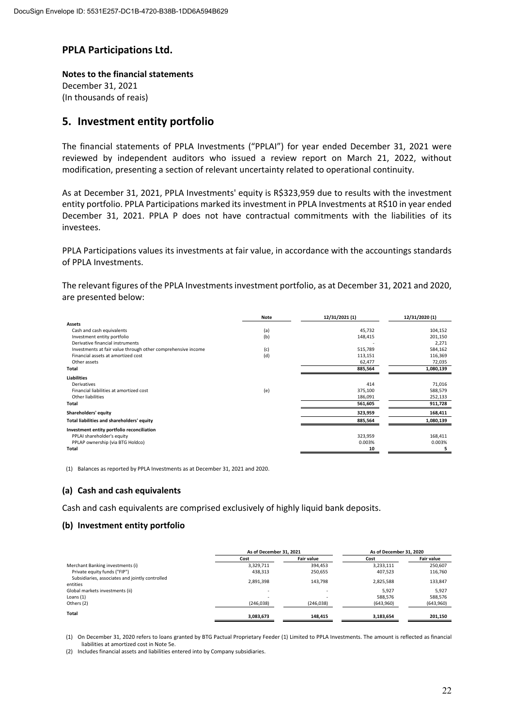**Notes to the financial statements** December 31, 2021 (In thousands of reais)

### **5. Investment entity portfolio**

The financial statements of PPLA Investments ("PPLAI") for year ended December 31, 2021 were reviewed by independent auditors who issued a review report on March 21, 2022, without modification, presenting a section of relevant uncertainty related to operational continuity.

As at December 31, 2021, PPLA Investments' equity is R\$323,959 due to results with the investment entity portfolio. PPLA Participations marked its investment in PPLA Investments at R\$10 in year ended December 31, 2021. PPLA P does not have contractual commitments with the liabilities of its investees.

PPLA Participations values its investments at fair value, in accordance with the accountings standards of PPLA Investments.

The relevant figures of the PPLA Investments investment portfolio, as at December 31, 2021 and 2020, are presented below:

|                                                              | <b>Note</b> | 12/31/2021 (1) | 12/31/2020 (1) |
|--------------------------------------------------------------|-------------|----------------|----------------|
| <b>Assets</b>                                                |             |                |                |
| Cash and cash equivalents                                    | (a)         | 45,732         | 104,152        |
| Investment entity portfolio                                  | (b)         | 148,415        | 201,150        |
| Derivative financial instruments                             |             |                | 2,271          |
| Investments at fair value through other comprehensive income | (c)         | 515,789        | 584,162        |
| Financial assets at amortized cost                           | (d)         | 113,151        | 116,369        |
| Other assets                                                 |             | 62,477         | 72,035         |
| Total                                                        |             | 885,564        | 1,080,139      |
| <b>Liabilities</b>                                           |             |                |                |
| Derivatives                                                  |             | 414            | 71,016         |
| Financial liabilities at amortized cost                      | (e)         | 375,100        | 588,579        |
| Other liabilities                                            |             | 186,091        | 252,133        |
| Total                                                        |             | 561,605        | 911,728        |
| Shareholders' equity                                         |             | 323,959        | 168,411        |
| Total liabilities and shareholders' equity                   |             | 885,564        | 1,080,139      |
| Investment entity portfolio reconciliation                   |             |                |                |
| PPLAI shareholder's equity                                   |             | 323,959        | 168,411        |
| PPLAP ownership (via BTG Holdco)                             |             | 0.003%         | 0.003%         |
| Total                                                        |             | 10             | 5              |

(1) Balances as reported by PPLA Investments as at December 31, 2021 and 2020.

#### **(a) Cash and cash equivalents**

Cash and cash equivalents are comprised exclusively of highly liquid bank deposits.

#### **(b) Investment entity portfolio**

|                                                             | As of December 31, 2021  |                   | As of December 31, 2020 |                   |
|-------------------------------------------------------------|--------------------------|-------------------|-------------------------|-------------------|
|                                                             | Cost                     | <b>Fair value</b> | Cost                    | <b>Fair value</b> |
| Merchant Banking investments (i)                            | 3,329,711                | 394.453           | 3,233,111               | 250,607           |
| Private equity funds ("FIP")                                | 438,313                  | 250,655           | 407,523                 | 116,760           |
| Subsidiaries, associates and jointly controlled<br>entities | 2,891,398                | 143,798           | 2,825,588               | 133,847           |
| Global markets investments (ii)                             | $\overline{\phantom{a}}$ | ٠                 | 5.927                   | 5,927             |
| Loans $(1)$                                                 | ٠                        | ٠                 | 588,576                 | 588,576           |
| Others (2)                                                  | (246, 038)               | (246, 038)        | (643,960)               | (643,960)         |
| Total                                                       | 3,083,673                | 148.415           | 3,183,654               | 201,150           |

(1) On December 31, 2020 refers to loans granted by BTG Pactual Proprietary Feeder (1) Limited to PPLA Investments. The amount is reflected as financial liabilities at amortized cost in Note 5e.

(2) Includes financial assets and liabilities entered into by Company subsidiaries.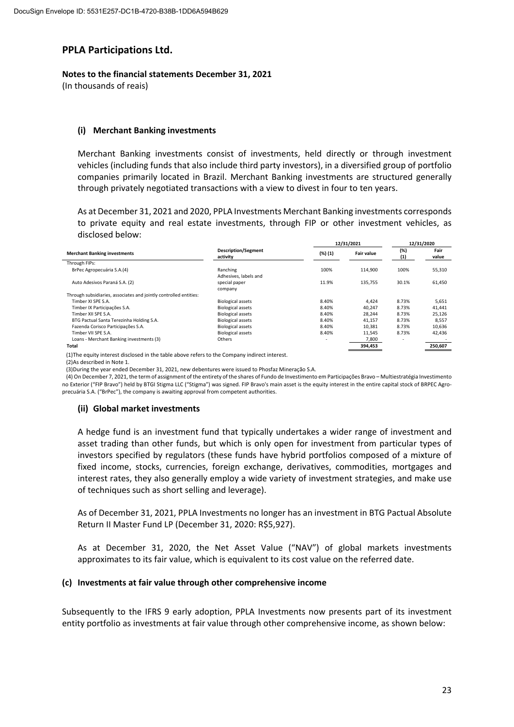#### **Notes to the financial statements December 31, 2021**

(In thousands of reais)

#### **(i) Merchant Banking investments**

Merchant Banking investments consist of investments, held directly or through investment vehicles (including funds that also include third party investors), in a diversified group of portfolio companies primarily located in Brazil. Merchant Banking investments are structured generally through privately negotiated transactions with a view to divest in four to ten years.

As at December 31, 2021 and 2020, PPLA Investments Merchant Banking investments corresponds to private equity and real estate investments, through FIP or other investment vehicles, as disclosed below: **12/31/2021 12/31/2020**

|                                                                                                                |                                        |                          | 12/31/2021        | 12/31/2020 |               |
|----------------------------------------------------------------------------------------------------------------|----------------------------------------|--------------------------|-------------------|------------|---------------|
| <b>Merchant Banking investments</b>                                                                            | <b>Description/Segment</b><br>activity | (%)(1)                   | <b>Fair value</b> | (%)<br>(1) | Fair<br>value |
| Through FIPs:                                                                                                  |                                        |                          |                   |            |               |
| BrPec Agropecuária S.A.(4)                                                                                     | Ranching                               | 100%                     | 114,900           | 100%       | 55,310        |
|                                                                                                                | Adhesives, labels and                  |                          |                   |            |               |
| Auto Adesivos Paraná S.A. (2)                                                                                  | special paper                          | 11.9%                    | 135,755           | 30.1%      | 61,450        |
|                                                                                                                | company                                |                          |                   |            |               |
| Through subsidiaries, associates and jointly controlled entities:                                              |                                        |                          |                   |            |               |
| Timber XI SPE S.A.                                                                                             | <b>Biological assets</b>               | 8.40%                    | 4,424             | 8.73%      | 5,651         |
| Timber IX Participações S.A.                                                                                   | <b>Biological assets</b>               | 8.40%                    | 40,247            | 8.73%      | 41,441        |
| Timber XII SPE S.A.                                                                                            | <b>Biological assets</b>               | 8.40%                    | 28,244            | 8.73%      | 25,126        |
| BTG Pactual Santa Terezinha Holding S.A.                                                                       | <b>Biological assets</b>               | 8.40%                    | 41,157            | 8.73%      | 8,557         |
| Fazenda Corisco Participações S.A.                                                                             | <b>Biological assets</b>               | 8.40%                    | 10,381            | 8.73%      | 10,636        |
| Timber VII SPE S.A.                                                                                            | <b>Biological assets</b>               | 8.40%                    | 11.545            | 8.73%      | 42,436        |
| Loans - Merchant Banking investments (3)                                                                       | Others                                 | $\overline{\phantom{a}}$ | 7,800             |            |               |
| Total                                                                                                          |                                        |                          | 394,453           |            | 250,607       |
| TANTIC CONTRACTOR IN THE CHARLES IN THE CHARLES CONTRACTOR CONTRACTOR IN THE CHARLES OF THE CHARLES CONTRACTOR |                                        |                          |                   |            |               |

(1)The equity interest disclosed in the table above refers to the Company indirect interest.

(2)As described in Note 1.

(3)During the year ended December 31, 2021, new debentures were issued to Phosfaz Mineração S.A.

 (4) On December 7, 2021, the term of assignment of the entirety of the shares of Fundo de Investimento em Participações Bravo – Multiestratégia Investimento no Exterior ("FIP Bravo") held by BTGI Stigma LLC ("Stigma") was signed. FIP Bravo's main asset is the equity interest in the entire capital stock of BRPEC Agroprecuária S.A. ("BrPec"), the company is awaiting approval from competent authorities.

#### **(ii) Global market investments**

A hedge fund is an investment fund that typically undertakes a wider range of investment and asset trading than other funds, but which is only open for investment from particular types of investors specified by regulators (these funds have hybrid portfolios composed of a mixture of fixed income, stocks, currencies, foreign exchange, derivatives, commodities, mortgages and interest rates, they also generally employ a wide variety of investment strategies, and make use of techniques such as short selling and leverage).

As of December 31, 2021, PPLA Investments no longer has an investment in BTG Pactual Absolute Return II Master Fund LP (December 31, 2020: R\$5,927).

As at December 31, 2020, the Net Asset Value ("NAV") of global markets investments approximates to its fair value, which is equivalent to its cost value on the referred date.

#### **(c) Investments at fair value through other comprehensive income**

Subsequently to the IFRS 9 early adoption, PPLA Investments now presents part of its investment entity portfolio as investments at fair value through other comprehensive income, as shown below: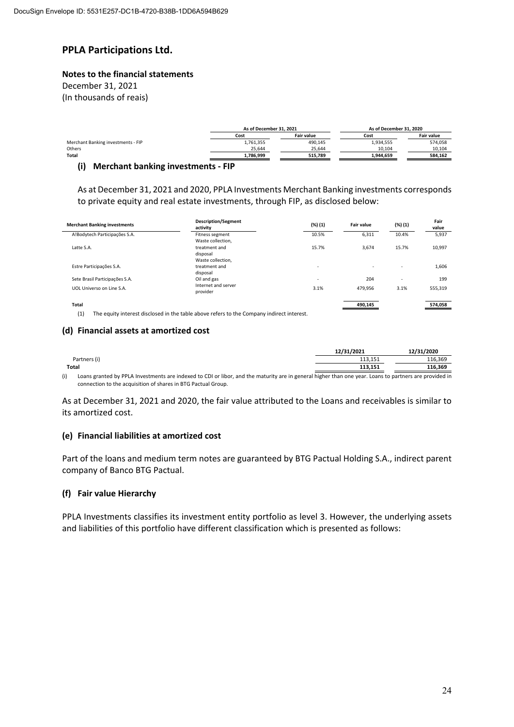#### **Notes to the financial statements**

December 31, 2021 (In thousands of reais)

|                                    | As of December 31, 2021   |         | As of December 31, 2020 |                   |  |
|------------------------------------|---------------------------|---------|-------------------------|-------------------|--|
|                                    | <b>Fair value</b><br>Cost |         | Cost                    | <b>Fair value</b> |  |
| Merchant Banking investments - FIP | 1,761,355                 | 490,145 | 1,934,555               | 574,058           |  |
| Others                             | 25.644                    | 25.644  | 10.104                  | 10,104            |  |
| Total                              | 1.786.999                 | 515.789 | 1,944,659               | 584.162           |  |
| __                                 |                           |         |                         |                   |  |

#### **(i) Merchant banking investments ‐ FIP**

As at December 31, 2021 and 2020, PPLA Investments Merchant Banking investments corresponds to private equity and real estate investments, through FIP, as disclosed below:

| <b>Merchant Banking investments</b> | <b>Description/Segment</b><br>activity                                                    | (%) (1)                  | <b>Fair value</b> | (%) (1)        | Fair<br>value |
|-------------------------------------|-------------------------------------------------------------------------------------------|--------------------------|-------------------|----------------|---------------|
| A!Bodytech Participações S.A.       | Fitness segment<br>Waste collection,                                                      | 10.5%                    | 6,311             | 10.4%          | 5,937         |
| Latte S.A.                          | treatment and<br>disposal                                                                 | 15.7%                    | 3,674             | 15.7%          | 10,997        |
| Estre Participações S.A.            | Waste collection,<br>treatment and<br>disposal                                            | $\overline{\phantom{a}}$ |                   | $\overline{a}$ | 1,606         |
| Sete Brasil Participações S.A.      | Oil and gas                                                                               | $\overline{\phantom{a}}$ | 204               | ۰              | 199           |
| UOL Universo on Line S.A.           | Internet and server<br>provider                                                           | 3.1%                     | 479,956           | 3.1%           | 555,319       |
| <b>Total</b>                        |                                                                                           |                          | 490,145           |                | 574,058       |
| (1)                                 | The equity interest disclosed in the table above refers to the Company indirect interest. |                          |                   |                |               |

#### **(d) Financial assets at amortized cost**

|                                                                                                                                                        | 12/31/2021 | 12/31/2020 |
|--------------------------------------------------------------------------------------------------------------------------------------------------------|------------|------------|
| Partners (i)                                                                                                                                           | 113.151    | 116.369    |
| Total                                                                                                                                                  | 113.151    | 116.369    |
| Loans granted by PPLA Investments are indeved to CDL or libor, and the maturity are in general higher than one year. Loans to nartners are provided in |            |            |

(i) Loans granted by PPLA Investments are indexed to CDI or libor, and the maturity are in general higher than one year. Loans to partners are provided in connection to the acquisition of shares in BTG Pactual Group.

As at December 31, 2021 and 2020, the fair value attributed to the Loans and receivables is similar to its amortized cost.

#### **(e) Financial liabilities at amortized cost**

Part of the loans and medium term notes are guaranteed by BTG Pactual Holding S.A., indirect parent company of Banco BTG Pactual.

#### **(f) Fair value Hierarchy**

PPLA Investments classifies its investment entity portfolio as level 3. However, the underlying assets and liabilities of this portfolio have different classification which is presented as follows: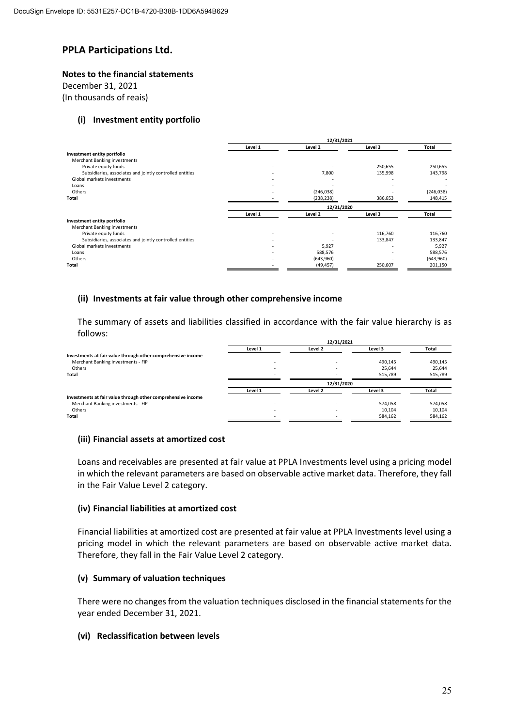#### **Notes to the financial statements**

December 31, 2021

(In thousands of reais)

#### **(i) Investment entity portfolio**

|                                                          | 12/31/2021 |            |         |            |
|----------------------------------------------------------|------------|------------|---------|------------|
|                                                          | Level 1    | Level 2    | Level 3 | Total      |
| Investment entity portfolio                              |            |            |         |            |
| Merchant Banking investments                             |            |            |         |            |
| Private equity funds                                     |            |            | 250,655 | 250,655    |
| Subsidiaries, associates and jointly controlled entities |            | 7,800      | 135,998 | 143,798    |
| Global markets investments                               |            |            |         |            |
| Loans                                                    |            |            |         |            |
| Others                                                   |            | (246, 038) |         | (246, 038) |
| Total                                                    |            | (238, 238) | 386,653 | 148,415    |
|                                                          |            | 12/31/2020 |         |            |
|                                                          | Level 1    | Level 2    | Level 3 | Total      |
| Investment entity portfolio                              |            |            |         |            |
| Merchant Banking investments                             |            |            |         |            |
| Private equity funds                                     |            |            | 116,760 | 116,760    |
| Subsidiaries, associates and jointly controlled entities |            |            | 133,847 | 133,847    |
| Global markets investments                               |            | 5,927      | ۰       | 5,927      |
| Loans                                                    |            | 588,576    |         | 588,576    |
| Others                                                   |            | (643,960)  |         | (643,960)  |
|                                                          |            |            |         |            |
| Total                                                    |            | (49, 457)  | 250,607 | 201,150    |

#### **(ii) Investments at fair value through other comprehensive income**

The summary of assets and liabilities classified in accordance with the fair value hierarchy is as follows:

**12/31/2021**

| 12/31/2021               |         |         |            |
|--------------------------|---------|---------|------------|
| Level 1                  | Level 2 | Level 3 | Total      |
|                          |         |         |            |
| $\overline{\phantom{a}}$ |         | 490,145 | 490,145    |
|                          |         | 25.644  | 25,644     |
|                          | ۰       | 515,789 | 515,789    |
|                          |         |         |            |
| Level 1                  | Level 2 | Level 3 | Total      |
|                          |         |         |            |
|                          |         | 574,058 | 574,058    |
|                          |         | 10,104  | 10,104     |
|                          |         | 584,162 | 584,162    |
|                          |         |         | 12/31/2020 |

#### **(iii) Financial assets at amortized cost**

Loans and receivables are presented at fair value at PPLA Investments level using a pricing model in which the relevant parameters are based on observable active market data. Therefore, they fall in the Fair Value Level 2 category.

#### **(iv) Financial liabilities at amortized cost**

Financial liabilities at amortized cost are presented at fair value at PPLA Investments level using a pricing model in which the relevant parameters are based on observable active market data. Therefore, they fall in the Fair Value Level 2 category.

#### **(v) Summary of valuation techniques**

There were no changes from the valuation techniques disclosed in the financial statements for the year ended December 31, 2021.

#### **(vi) Reclassification between levels**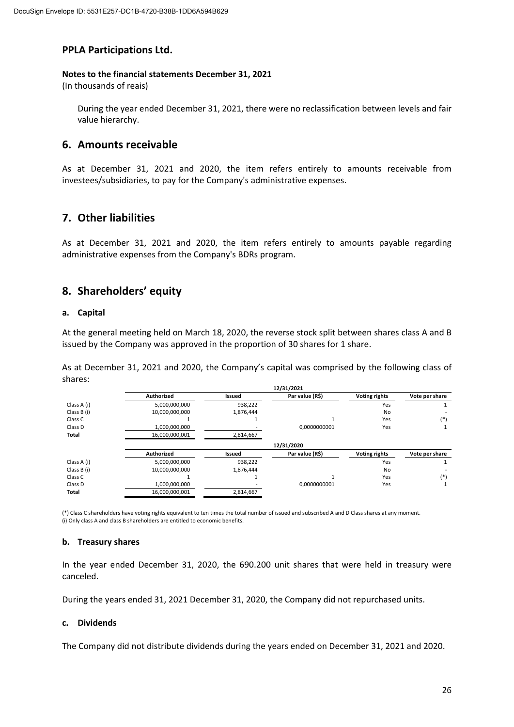#### **Notes to the financial statements December 31, 2021**

(In thousands of reais)

During the year ended December 31, 2021, there were no reclassification between levels and fair value hierarchy.

# **6. Amounts receivable**

As at December 31, 2021 and 2020, the item refers entirely to amounts receivable from investees/subsidiaries, to pay for the Company's administrative expenses.

# **7. Other liabilities**

As at December 31, 2021 and 2020, the item refers entirely to amounts payable regarding administrative expenses from the Company's BDRs program.

# **8. Shareholders' equity**

#### **a. Capital**

At the general meeting held on March 18, 2020, the reverse stock split between shares class A and B issued by the Company was approved in the proportion of 30 shares for 1 share.

As at December 31, 2021 and 2020, the Company's capital was comprised by the following class of shares:

|             | 12/31/2021        |           |                 |                      |                |  |
|-------------|-------------------|-----------|-----------------|----------------------|----------------|--|
|             | Authorized        | Issued    | Par value (R\$) | <b>Voting rights</b> | Vote per share |  |
| Class A (i) | 5,000,000,000     | 938.222   |                 | Yes                  |                |  |
| Class B (i) | 10,000,000,000    | 1,876,444 |                 | No                   |                |  |
| Class C     |                   |           |                 | Yes                  | $(*)$          |  |
| Class D     | 1,000,000,000     |           | 0.0000000001    | Yes                  |                |  |
| Total       | 16,000,000,001    | 2,814,667 |                 |                      |                |  |
|             |                   |           | 12/31/2020      |                      |                |  |
|             | <b>Authorized</b> | Issued    | Par value (R\$) | <b>Voting rights</b> | Vote per share |  |
| Class A (i) | 5,000,000,000     | 938,222   |                 | Yes                  |                |  |
| Class B (i) | 10,000,000,000    | 1,876,444 |                 | No                   |                |  |
| Class C     |                   |           |                 | Yes                  | $(*)$          |  |
| Class D     | 1,000,000,000     |           | 0.0000000001    | Yes                  |                |  |
| Total       | 16,000,000,001    | 2,814,667 |                 |                      |                |  |

(\*) Class C shareholders have voting rights equivalent to ten times the total number of issued and subscribed A and D Class shares at any moment. (i) Only class A and class B shareholders are entitled to economic benefits.

#### **b. Treasury shares**

In the year ended December 31, 2020, the 690.200 unit shares that were held in treasury were canceled.

During the years ended 31, 2021 December 31, 2020, the Company did not repurchased units.

#### **c. Dividends**

The Company did not distribute dividends during the years ended on December 31, 2021 and 2020.